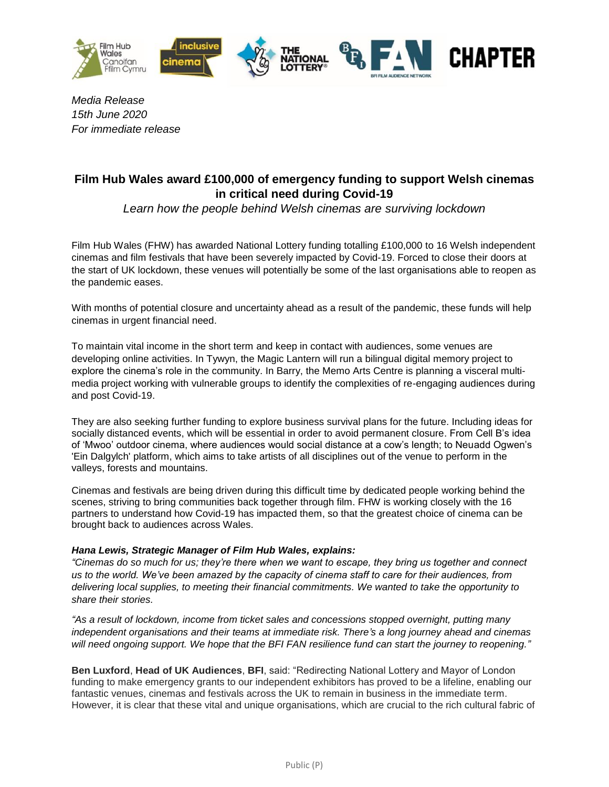

*Media Release 15th June 2020 For immediate release*

# **Film Hub Wales award £100,000 of emergency funding to support Welsh cinemas in critical need during Covid-19**

*Learn how the people behind Welsh cinemas are surviving lockdown*

Film Hub Wales (FHW) has awarded National Lottery funding totalling £100,000 to 16 Welsh independent cinemas and film festivals that have been severely impacted by Covid-19. Forced to close their doors at the start of UK lockdown, these venues will potentially be some of the last organisations able to reopen as the pandemic eases.

With months of potential closure and uncertainty ahead as a result of the pandemic, these funds will help cinemas in urgent financial need.

To maintain vital income in the short term and keep in contact with audiences, some venues are developing online activities. In Tywyn, the Magic Lantern will run a bilingual digital memory project to explore the cinema's role in the community. In Barry, the Memo Arts Centre is planning a visceral multimedia project working with vulnerable groups to identify the complexities of re-engaging audiences during and post Covid-19.

They are also seeking further funding to explore business survival plans for the future. Including ideas for socially distanced events, which will be essential in order to avoid permanent closure. From Cell B's idea of 'Mwoo' outdoor cinema, where audiences would social distance at a cow's length; to Neuadd Ogwen's 'Ein Dalgylch' platform, which aims to take artists of all disciplines out of the venue to perform in the valleys, forests and mountains.

Cinemas and festivals are being driven during this difficult time by dedicated people working behind the scenes, striving to bring communities back together through film. FHW is working closely with the 16 partners to understand how Covid-19 has impacted them, so that the greatest choice of cinema can be brought back to audiences across Wales.

#### *Hana Lewis, Strategic Manager of Film Hub Wales, explains:*

*"Cinemas do so much for us; they're there when we want to escape, they bring us together and connect us to the world. We've been amazed by the capacity of cinema staff to care for their audiences, from delivering local supplies, to meeting their financial commitments. We wanted to take the opportunity to share their stories.*

*"As a result of lockdown, income from ticket sales and concessions stopped overnight, putting many independent organisations and their teams at immediate risk. There's a long journey ahead and cinemas will need ongoing support. We hope that the BFI FAN resilience fund can start the journey to reopening."*

**Ben Luxford**, **Head of UK Audiences**, **BFI**, said: "Redirecting National Lottery and Mayor of London funding to make emergency grants to our independent exhibitors has proved to be a lifeline, enabling our fantastic venues, cinemas and festivals across the UK to remain in business in the immediate term. However, it is clear that these vital and unique organisations, which are crucial to the rich cultural fabric of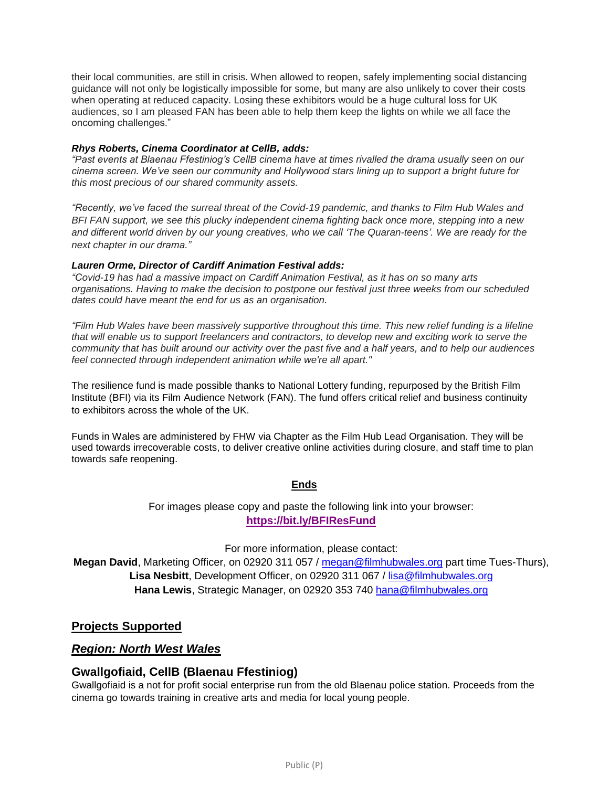their local communities, are still in crisis. When allowed to reopen, safely implementing social distancing guidance will not only be logistically impossible for some, but many are also unlikely to cover their costs when operating at reduced capacity. Losing these exhibitors would be a huge cultural loss for UK audiences, so I am pleased FAN has been able to help them keep the lights on while we all face the oncoming challenges."

#### *Rhys Roberts, Cinema Coordinator at CellB, adds:*

*"Past events at Blaenau Ffestiniog's CellB cinema have at times rivalled the drama usually seen on our cinema screen. We've seen our community and Hollywood stars lining up to support a bright future for this most precious of our shared community assets.*

*"Recently, we've faced the surreal threat of the Covid-19 pandemic, and thanks to Film Hub Wales and BFI FAN support, we see this plucky independent cinema fighting back once more, stepping into a new and different world driven by our young creatives, who we call 'The Quaran-teens'. We are ready for the next chapter in our drama."*

#### *Lauren Orme, Director of Cardiff Animation Festival adds:*

*"Covid-19 has had a massive impact on Cardiff Animation Festival, as it has on so many arts organisations. Having to make the decision to postpone our festival just three weeks from our scheduled dates could have meant the end for us as an organisation.*

*"Film Hub Wales have been massively supportive throughout this time. This new relief funding is a lifeline that will enable us to support freelancers and contractors, to develop new and exciting work to serve the community that has built around our activity over the past five and a half years, and to help our audiences feel connected through independent animation while we're all apart."*

The resilience fund is made possible thanks to National Lottery funding, repurposed by the British Film Institute (BFI) via its Film Audience Network (FAN). The fund offers critical relief and business continuity to exhibitors across the whole of the UK.

Funds in Wales are administered by FHW via Chapter as the Film Hub Lead Organisation. They will be used towards irrecoverable costs, to deliver creative online activities during closure, and staff time to plan towards safe reopening.

#### **Ends**

For images please copy and paste the following link into your browser:

#### **<https://bit.ly/BFIResFund>**

For more information, please contact:

**Megan David**, Marketing Officer, on 02920 311 057 / [megan@filmhubwales.org](mailto:megan@filmhubwales.org) part time Tues-Thurs), **Lisa Nesbitt**, Development Officer, on 02920 311 067 / [lisa@filmhubwales.org](mailto:lisa@filmhubwales.org) **Hana Lewis**, Strategic Manager, on 02920 353 740 [hana@filmhubwales.org](mailto:hana@filmhubwales.org)

### **Projects Supported**

#### *Region: North West Wales*

### **Gwallgofiaid, CellB (Blaenau Ffestiniog)**

Gwallgofiaid is a not for profit social enterprise run from the old Blaenau police station. Proceeds from the cinema go towards training in creative arts and media for local young people.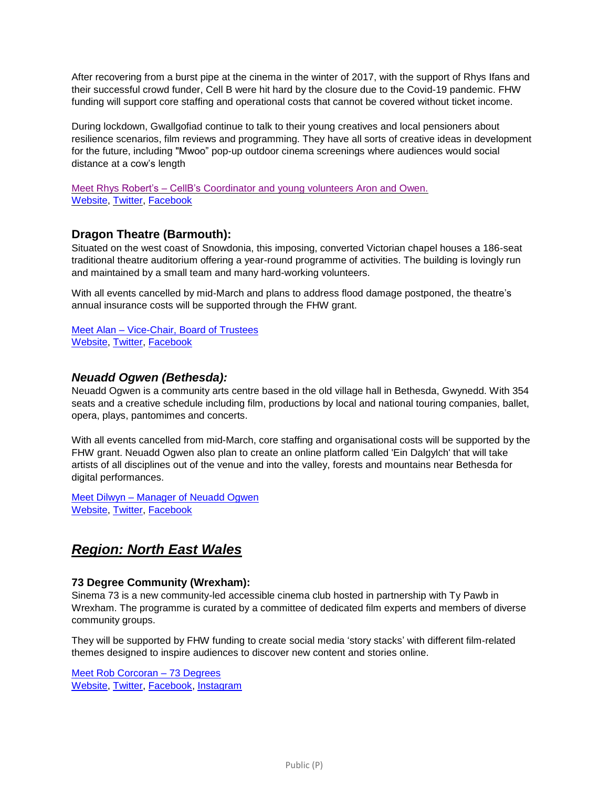After recovering from a burst pipe at the cinema in the winter of 2017, with the support of Rhys Ifans and their successful crowd funder, Cell B were hit hard by the closure due to the Covid-19 pandemic. FHW funding will support core staffing and operational costs that cannot be covered without ticket income.

During lockdown, Gwallgofiad continue to talk to their young creatives and local pensioners about resilience scenarios, film reviews and programming. They have all sorts of creative ideas in development for the future, including "Mwoo" pop-up outdoor cinema screenings where audiences would social distance at a cow's length

Meet Rhys Robert's – CellB's [Coordinator](https://www.filmhubwales.org/en/the-people-behind-welsh-cinemas/) and young volunteers Aron and Owen. [Website,](http://cellb.org/) [Twitter,](https://twitter.com/CeLLBlaenau) [Facebook](http://www.facebook.com/CellBlaenau/)

## **Dragon Theatre (Barmouth):**

Situated on the west coast of Snowdonia, this imposing, converted Victorian chapel houses a 186-seat traditional theatre auditorium offering a year-round programme of activities. The building is lovingly run and maintained by a small team and many hard-working volunteers.

With all events cancelled by mid-March and plans to address flood damage postponed, the theatre's annual insurance costs will be supported through the FHW grant.

Meet Alan – [Vice-Chair, Board of Trustees](https://www.filmhubwales.org/en/the-people-behind-welsh-cinemas/) [Website,](http://www.dragontheatre.co.uk/) [Twitter,](https://twitter.com/DragonBarmouth) [Facebook](http://www.facebook.com/dragontheatre/)

### *Neuadd Ogwen (Bethesda):*

Neuadd Ogwen is a community arts centre based in the old village hall in Bethesda, Gwynedd. With 354 seats and a creative schedule including film, productions by local and national touring companies, ballet, opera, plays, pantomimes and concerts.

With all events cancelled from mid-March, core staffing and organisational costs will be supported by the FHW grant. Neuadd Ogwen also plan to create an online platform called 'Ein Dalgylch' that will take artists of all disciplines out of the venue and into the valley, forests and mountains near Bethesda for digital performances.

Meet Dilwyn – Manager [of Neuadd Ogwen](https://www.filmhubwales.org/en/the-people-behind-welsh-cinemas/) [Website,](https://neuaddogwen.com/) [Twitter,](https://twitter.com/NeuaddOgwen) [Facebook](https://www.facebook.com/NeuaddOgwen)

# *Region: North East Wales*

#### **73 Degree Community (Wrexham):**

Sinema 73 is a new community-led accessible cinema club hosted in partnership with Ty Pawb in Wrexham. The programme is curated by a committee of dedicated film experts and members of diverse community groups.

They will be supported by FHW funding to create social media 'story stacks' with different film-related themes designed to inspire audiences to discover new content and stories online.

[Meet Rob Corcoran –](https://www.filmhubwales.org/en/the-people-behind-welsh-cinemas/) 73 Degrees [Website,](http://www.73degreefilms.com/) [Twitter,](https://twitter.com/73cinema) [Facebook,](https://www.facebook.com/73degreefilms/) [Instagram](http://www.instagram.com/73degreefilms/)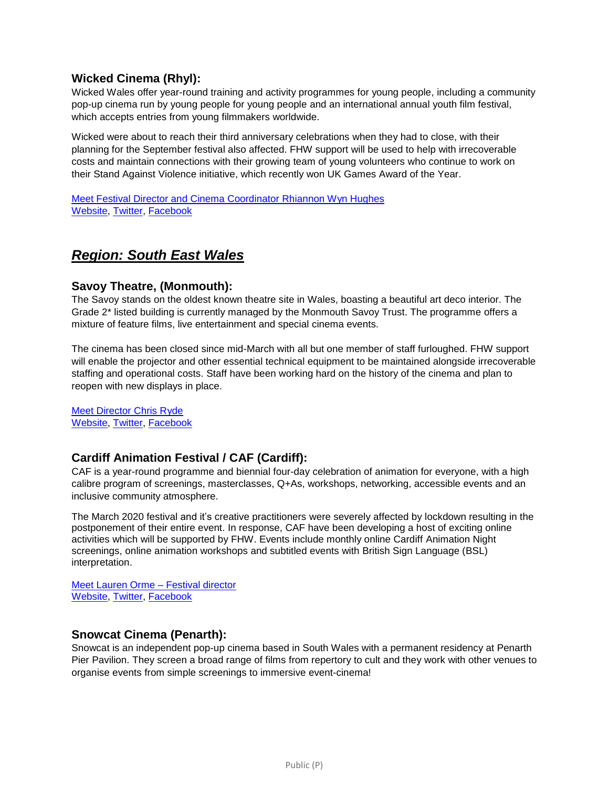## **Wicked Cinema (Rhyl):**

Wicked Wales offer year-round training and activity programmes for young people, including a community pop-up cinema run by young people for young people and an international annual youth film festival, which accepts entries from young filmmakers worldwide.

Wicked were about to reach their third anniversary celebrations when they had to close, with their planning for the September festival also affected. FHW support will be used to help with irrecoverable costs and maintain connections with their growing team of young volunteers who continue to work on their Stand Against Violence initiative, which recently won UK Games Award of the Year.

Meet Festival Director [and Cinema Coordinator](https://www.filmhubwales.org/en/the-people-behind-welsh-cinemas/) Rhiannon Wyn Hughes [Website,](http://www.wickedwales.com/) [Twitter,](https://twitter.com/wicked_film) [Facebook](https://www.facebook.com/wickedwales/)

# *Region: South East Wales*

### **Savoy Theatre, (Monmouth):**

The Savoy stands on the oldest known theatre site in Wales, boasting a beautiful art deco interior. The Grade 2\* listed building is currently managed by the Monmouth Savoy Trust. The programme offers a mixture of feature films, live entertainment and special cinema events.

The cinema has been closed since mid-March with all but one member of staff furloughed. FHW support will enable the projector and other essential technical equipment to be maintained alongside irrecoverable staffing and operational costs. Staff have been working hard on the history of the cinema and plan to reopen with new displays in place.

[Meet Director Chris Ryde](https://www.filmhubwales.org/en/the-people-behind-welsh-cinemas/) [Website,](http://www.monmouth-savoy.co.uk/) [Twitter,](https://twitter.com/monmouthsavoy) [Facebook](https://www.facebook.com/Savoy-Theatre-Monmouth-158800746252/)

## **Cardiff Animation Festival / CAF (Cardiff):**

CAF is a year-round programme and biennial four-day celebration of animation for everyone, with a high calibre program of screenings, masterclasses, Q+As, workshops, networking, accessible events and an inclusive community atmosphere.

The March 2020 festival and it's creative practitioners were severely affected by lockdown resulting in the postponement of their entire event. In response, CAF have been developing a host of exciting online activities which will be supported by FHW. Events include monthly online Cardiff Animation Night screenings, online animation workshops and subtitled events with British Sign Language (BSL) interpretation.

[Meet Lauren Orme –](https://www.filmhubwales.org/en/the-people-behind-welsh-cinemas/) Festival director [Website,](http://www.cardiffanimation.com/) [Twitter,](https://twitter.com/CardiffAnimFest) [Facebook](https://www.facebook.com/Cardiffanimationfestival)

### **Snowcat Cinema (Penarth):**

Snowcat is an independent pop-up cinema based in South Wales with a permanent residency at Penarth Pier Pavilion. They screen a broad range of films from repertory to cult and they work with other venues to organise events from simple screenings to immersive event-cinema!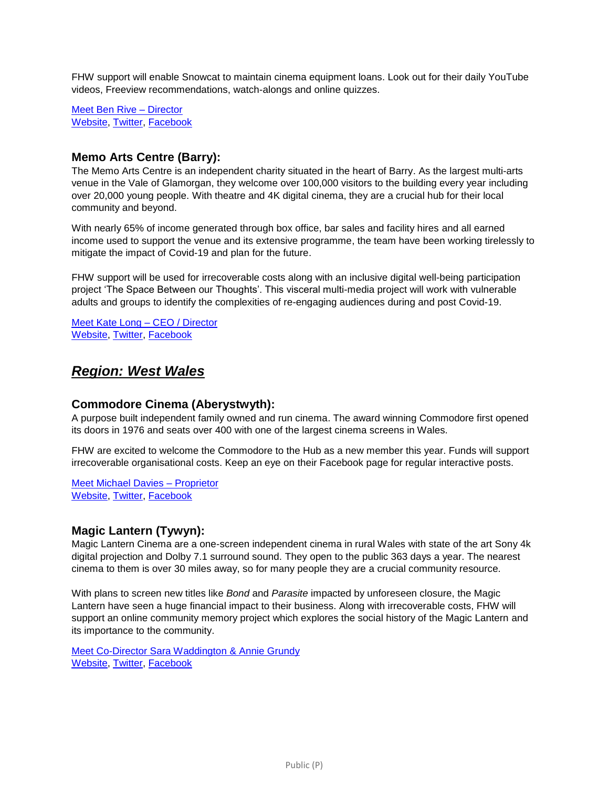FHW support will enable Snowcat to maintain cinema equipment loans. Look out for their daily YouTube videos, Freeview recommendations, watch-alongs and online quizzes.

[Meet Ben Rive –](https://www.filmhubwales.org/en/the-people-behind-welsh-cinemas/) Director [Website,](https://www.snowcatcinema.co.uk/) [Twitter,](https://twitter.com/SnowcatCinema) [Facebook](https://www.facebook.com/snowcatcinema)

## **Memo Arts Centre (Barry):**

The Memo Arts Centre is an independent charity situated in the heart of Barry. As the largest multi-arts venue in the Vale of Glamorgan, they welcome over 100,000 visitors to the building every year including over 20,000 young people. With theatre and 4K digital cinema, they are a crucial hub for their local community and beyond.

With nearly 65% of income generated through box office, bar sales and facility hires and all earned income used to support the venue and its extensive programme, the team have been working tirelessly to mitigate the impact of Covid-19 and plan for the future.

FHW support will be used for irrecoverable costs along with an inclusive digital well-being participation project 'The Space Between our Thoughts'. This visceral multi-media project will work with vulnerable adults and groups to identify the complexities of re-engaging audiences during and post Covid-19.

[Meet Kate Long –](https://www.filmhubwales.org/en/the-people-behind-welsh-cinemas/) CEO / Director [Website,](http://www.memoartscentre.co.uk/) [Twitter,](https://twitter.com/BarryMemo) [Facebook](https://www.facebook.com/BarryMemo)

# *Region: West Wales*

### **Commodore Cinema (Aberystwyth):**

A purpose built independent family owned and run cinema. The award winning Commodore first opened its doors in 1976 and seats over 400 with one of the largest cinema screens in Wales.

FHW are excited to welcome the Commodore to the Hub as a new member this year. Funds will support irrecoverable organisational costs. Keep an eye on their Facebook page for regular interactive posts.

[Meet Michael Davies –](https://www.filmhubwales.org/en/the-people-behind-welsh-cinemas/) Proprietor [Website,](https://www.commodorecinema.com/) [Twitter,](https://twitter.com/CommodoreAber) [Facebook](https://www.facebook.com/commodorecinemaaber/)

## **Magic Lantern (Tywyn):**

Magic Lantern Cinema are a one-screen independent cinema in rural Wales with state of the art Sony 4k digital projection and Dolby 7.1 surround sound. They open to the public 363 days a year. The nearest cinema to them is over 30 miles away, so for many people they are a crucial community resource.

With plans to screen new titles like *Bond* and *Parasite* impacted by unforeseen closure, the Magic Lantern have seen a huge financial impact to their business. Along with irrecoverable costs, FHW will support an online community memory project which explores the social history of the Magic Lantern and its importance to the community.

[Meet Co-Director Sara Waddington & Annie Grundy](https://www.filmhubwales.org/en/the-people-behind-welsh-cinemas/) [Website,](http://www.tywyncinema.co.uk/) [Twitter,](https://twitter.com/TheTywynCinema) [Facebook](https://www.facebook.com/TywynCinema/)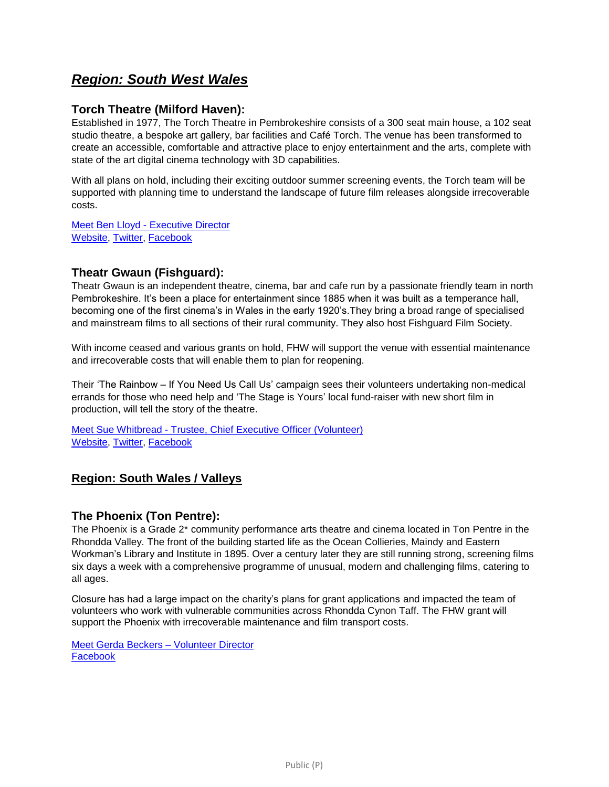# *Region: South West Wales*

## **Torch Theatre (Milford Haven):**

Established in 1977, The Torch Theatre in Pembrokeshire consists of a 300 seat main house, a 102 seat studio theatre, a bespoke art gallery, bar facilities and Café Torch. The venue has been transformed to create an accessible, comfortable and attractive place to enjoy entertainment and the arts, complete with state of the art digital cinema technology with 3D capabilities.

With all plans on hold, including their exciting outdoor summer screening events, the Torch team will be supported with planning time to understand the landscape of future film releases alongside irrecoverable costs.

Meet Ben Lloyd - [Executive Director](https://www.filmhubwales.org/en/the-people-behind-welsh-cinemas/) [Website,](https://www.torchtheatre.co.uk/) [Twitter,](https://twitter.com/TorchTheatre) [Facebook](https://www.facebook.com/torchtheatre/)

## **Theatr Gwaun (Fishguard):**

Theatr Gwaun is an independent theatre, cinema, bar and cafe run by a passionate friendly team in north Pembrokeshire. It's been a place for entertainment since 1885 when it was built as a temperance hall, becoming one of the first cinema's in Wales in the early 1920's.They bring a broad range of specialised and mainstream films to all sections of their rural community. They also host Fishguard Film Society.

With income ceased and various grants on hold, FHW will support the venue with essential maintenance and irrecoverable costs that will enable them to plan for reopening.

Their 'The Rainbow – If You Need Us Call Us' campaign sees their volunteers undertaking non-medical errands for those who need help and 'The Stage is Yours' local fund-raiser with new short film in production, will tell the story of the theatre.

Meet Sue Whitbread - [Trustee, Chief Executive Officer \(Volunteer\)](https://www.filmhubwales.org/en/the-people-behind-welsh-cinemas/) [Website,](https://theatrgwaun.com/) [Twitter,](https://twitter.com/TheatrGwaun) [Facebook](https://www.facebook.com/fishguardtheatrgwaun/)

## **Region: South Wales / Valleys**

### **The Phoenix (Ton Pentre):**

The Phoenix is a Grade 2\* community performance arts theatre and cinema located in Ton Pentre in the Rhondda Valley. The front of the building started life as the Ocean Collieries, Maindy and Eastern Workman's Library and Institute in 1895. Over a century later they are still running strong, screening films six days a week with a comprehensive programme of unusual, modern and challenging films, catering to all ages.

Closure has had a large impact on the charity's plans for grant applications and impacted the team of volunteers who work with vulnerable communities across Rhondda Cynon Taff. The FHW grant will support the Phoenix with irrecoverable maintenance and film transport costs.

[Meet Gerda Beckers –](https://www.filmhubwales.org/en/the-people-behind-welsh-cinemas/) Volunteer Director **[Facebook](https://www.facebook.com/The-Phoenix-Ton-Pentre-885041058258257/)**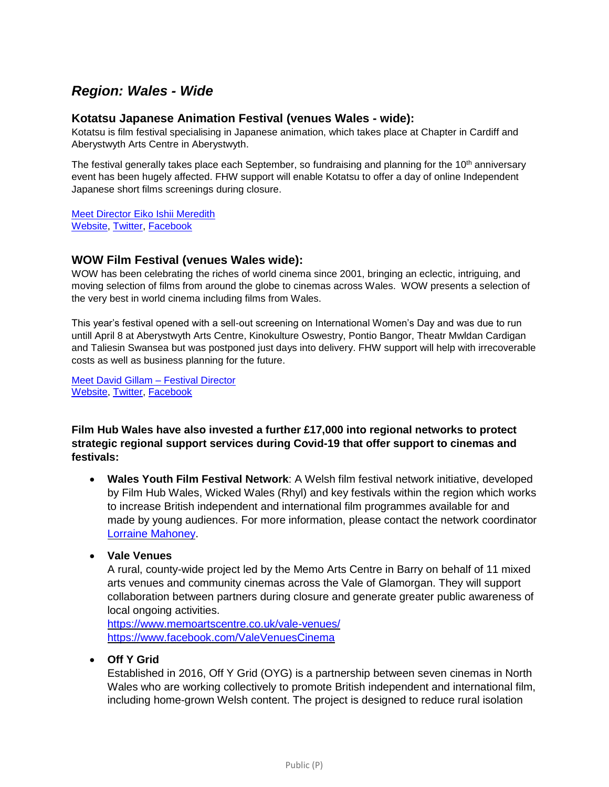# *Region: Wales - Wide*

### **Kotatsu Japanese Animation Festival (venues Wales - wide):**

Kotatsu is film festival specialising in Japanese animation, which takes place at Chapter in Cardiff and Aberystwyth Arts Centre in Aberystwyth.

The festival generally takes place each September, so fundraising and planning for the 10<sup>th</sup> anniversary event has been hugely affected. FHW support will enable Kotatsu to offer a day of online Independent Japanese short films screenings during closure.

[Meet Director Eiko Ishii Meredith](https://www.filmhubwales.org/en/the-people-behind-welsh-cinemas/) [Website,](http://www.kotatsufestival.com/) [Twitter,](https://twitter.com/Kotatsufestival) [Facebook](https://www.facebook.com/KotatsuFestival/)

### **WOW Film Festival (venues Wales wide):**

WOW has been celebrating the riches of world cinema since 2001, bringing an eclectic, intriguing, and moving selection of films from around the globe to cinemas across Wales. WOW presents a selection of the very best in world cinema including films from Wales.

This year's festival opened with a sell-out screening on International Women's Day and was due to run untill April 8 at Aberystwyth Arts Centre, Kinokulture Oswestry, Pontio Bangor, Theatr Mwldan Cardigan and Taliesin Swansea but was postponed just days into delivery. FHW support will help with irrecoverable costs as well as business planning for the future.

[Meet David Gillam –](https://www.filmhubwales.org/en/the-people-behind-welsh-cinemas/) Festival Director [Website,](https://www.wowfilmfestival.com/en/) [Twitter,](https://twitter.com/WOWFilm) [Facebook](https://www.facebook.com/WOWfilmfest)

**Film Hub Wales have also invested a further £17,000 into regional networks to protect strategic regional support services during Covid-19 that offer support to cinemas and festivals:**

- **Wales Youth Film Festival Network**: A Welsh film festival network initiative, developed by Film Hub Wales, Wicked Wales (Rhyl) and key festivals within the region which works to increase British independent and international film programmes available for and made by young audiences. For more information, please contact the network coordinator Lorraine [Mahoney.](mailto:lmahoney.WYFN@outlook.com)
- **Vale Venues**

A rural, county-wide project led by the Memo Arts Centre in Barry on behalf of 11 mixed arts venues and community cinemas across the Vale of Glamorgan. They will support collaboration between partners during closure and generate greater public awareness of local ongoing activities.

<https://www.memoartscentre.co.uk/vale-venues/> <https://www.facebook.com/ValeVenuesCinema>

**Off Y Grid**

Established in 2016, Off Y Grid (OYG) is a partnership between seven cinemas in North Wales who are working collectively to promote British independent and international film, including home-grown Welsh content. The project is designed to reduce rural isolation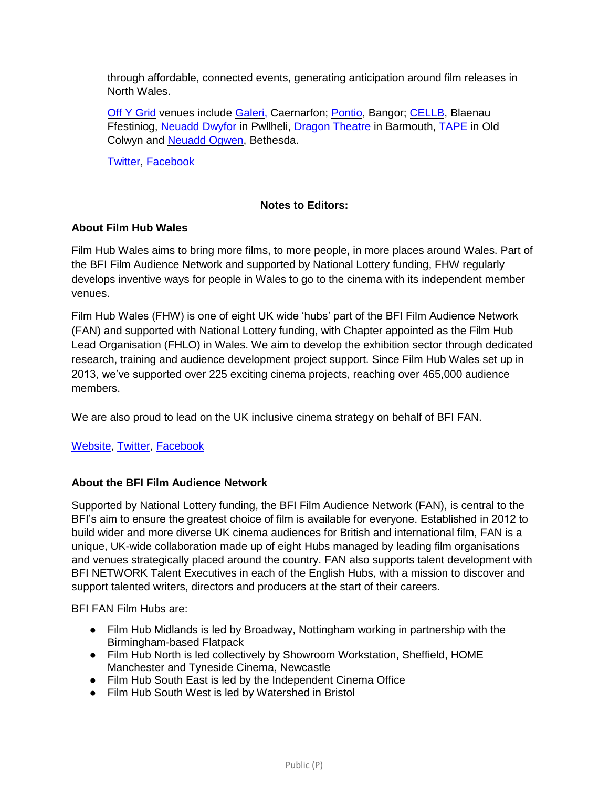through affordable, connected events, generating anticipation around film releases in North Wales.

Off Y [Grid](https://www.facebook.com/offygrid/) venues include [Galeri,](http://www.galericaernarfon.com/) Caernarfon; [Pontio,](https://www.pontio.co.uk/Online/) Bangor; [CELLB,](http://cellb.org/) Blaenau Ffestiniog, [Neuadd](https://www.neuadddwyfor.com/en) Dwyfor in Pwllheli, Dragon [Theatre](http://www.dragontheatre.co.uk/) in Barmouth, [TAPE](http://tapemusicandfilm.co.uk/) in Old Colwyn and [Neuadd](https://neuaddogwen.com/) Ogwen, Bethesda.

[Twitter,](https://twitter.com/OffYGrid) [Facebook](https://www.facebook.com/offygrid/)

### **Notes to Editors:**

#### **About Film Hub Wales**

Film Hub Wales aims to bring more films, to more people, in more places around Wales. Part of the BFI Film Audience Network and supported by National Lottery funding, FHW regularly develops inventive ways for people in Wales to go to the cinema with its independent member venues.

Film Hub Wales (FHW) is one of eight UK wide 'hubs' part of the BFI Film Audience Network (FAN) and supported with National Lottery funding, with Chapter appointed as the Film Hub Lead Organisation (FHLO) in Wales. We aim to develop the exhibition sector through dedicated research, training and audience development project support. Since Film Hub Wales set up in 2013, we've supported over 225 exciting cinema projects, reaching over 465,000 audience members.

We are also proud to lead on the UK inclusive cinema strategy on behalf of BFI FAN.

### [Website,](https://filmhubwales.org/en/) [Twitter,](https://twitter.com/filmhubwales) [Facebook](https://www.facebook.com/filmhubwales/)

#### **About the BFI Film Audience Network**

Supported by National Lottery funding, the BFI Film Audience Network (FAN), is central to the BFI's aim to ensure the greatest choice of film is available for everyone. Established in 2012 to build wider and more diverse UK cinema audiences for British and international film, FAN is a unique, UK-wide collaboration made up of eight Hubs managed by leading film organisations and venues strategically placed around the country. FAN also supports talent development with BFI NETWORK Talent Executives in each of the English Hubs, with a mission to discover and support talented writers, directors and producers at the start of their careers.

BFI FAN Film Hubs are:

- Film Hub Midlands is led by Broadway, Nottingham working in partnership with the Birmingham-based Flatpack
- Film Hub North is led collectively by Showroom Workstation, Sheffield, HOME Manchester and Tyneside Cinema, Newcastle
- Film Hub South East is led by the Independent Cinema Office
- Film Hub South West is led by Watershed in Bristol